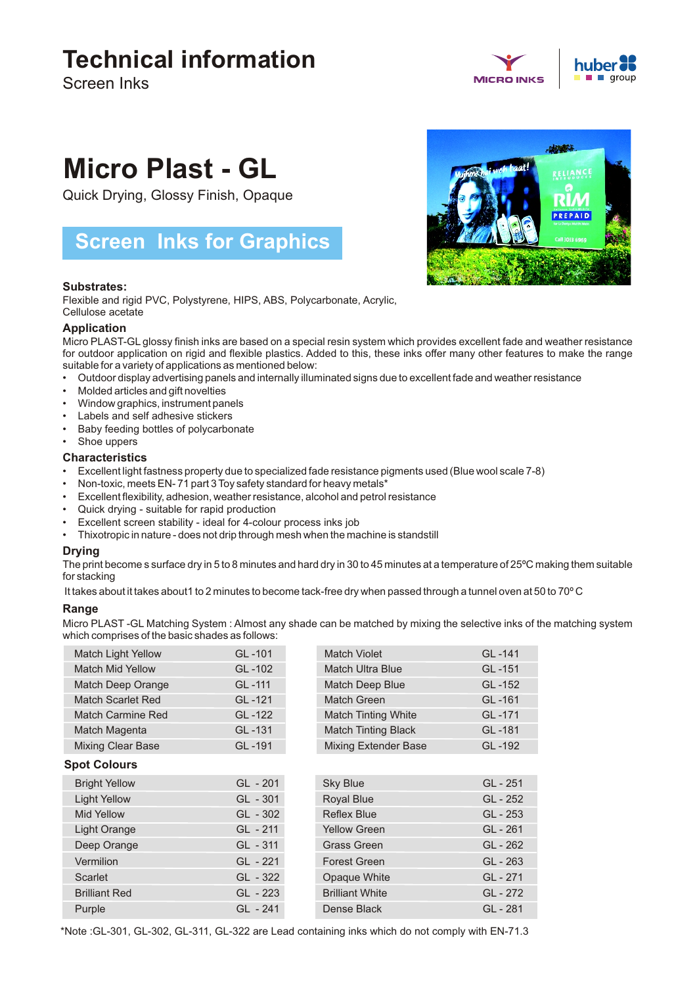## **Technical information**

Screen Inks

# **MICRO INKS**

# **Micro Plast - GL**

Quick Drying, Glossy Finish, Opaque

### **Screen Inks for Graphics**

#### **Substrates:**

Flexible and rigid PVC, Polystyrene, HIPS, ABS, Polycarbonate, Acrylic, Cellulose acetate

#### **Application**

Micro PLAST-GL glossy finish inks are based on a special resin system which provides excellent fade and weather resistance for outdoor application on rigid and flexible plastics. Added to this, these inks offer many other features to make the range suitable for a variety of applications as mentioned below:

- Outdoor display advertising panels and internally illuminated signs due to excellent fade and weather resistance
- Molded articles and gift novelties
- Window graphics, instrument panels
- Labels and self adhesive stickers
- Baby feeding bottles of polycarbonate
- Shoe uppers

#### **Characteristics**

- Excellent light fastness property due to specialized fade resistance pigments used (Blue wool scale 7-8)
- Non-toxic, meets EN- 71 part 3 Toy safety standard for heavy metals\*
- Excellent flexibility, adhesion, weather resistance, alcohol and petrol resistance
- Quick drying suitable for rapid production
- Excellent screen stability ideal for 4-colour process inks job
- Thixotropic in nature does not drip through mesh when the machine is standstill

#### **Drying**

The print become s surface dry in 5 to 8 minutes and hard dry in 30 to 45 minutes at a temperature of 25ºC making them suitable for stacking

It takes about it takes about1 to 2 minutes to become tack-free dry when passed through a tunnel oven at 50 to 70° C

#### **Range**

Micro PLAST -GL Matching System : Almost any shade can be matched by mixing the selective inks of the matching system which comprises of the basic shades as follows:

|                     | <b>Match Light Yellow</b> | GL-101     | Match Violet                | GL-141     |  |
|---------------------|---------------------------|------------|-----------------------------|------------|--|
|                     | <b>Match Mid Yellow</b>   | GL-102     | <b>Match Ultra Blue</b>     | GL-151     |  |
|                     | Match Deep Orange         | GL-111     | Match Deep Blue             | GL-152     |  |
|                     | <b>Match Scarlet Red</b>  | GL-121     | Match Green                 | GL-161     |  |
|                     | <b>Match Carmine Red</b>  | GL-122     | <b>Match Tinting White</b>  | GL-171     |  |
|                     | Match Magenta             | GL-131     | <b>Match Tinting Black</b>  | GL-181     |  |
|                     | <b>Mixing Clear Base</b>  | GL-191     | <b>Mixing Extender Base</b> | GL-192     |  |
| <b>Spot Colours</b> |                           |            |                             |            |  |
|                     | <b>Bright Yellow</b>      | $GL - 201$ | <b>Sky Blue</b>             | GL - 251   |  |
|                     | <b>Light Yellow</b>       | $GL - 301$ | <b>Royal Blue</b>           | GL - 252   |  |
|                     | Mid Yellow                | $GL - 302$ | <b>Reflex Blue</b>          | GL - 253   |  |
|                     | <b>Light Orange</b>       | GL - 211   | <b>Yellow Green</b>         | GL-261     |  |
|                     | Deep Orange               | GL - 311   | <b>Grass Green</b>          | $GL - 262$ |  |
|                     | Vermilion                 | GL - 221   | <b>Forest Green</b>         | $GL - 263$ |  |
|                     | <b>Scarlet</b>            | GL - 322   | Opaque White                | GL - 271   |  |
|                     | <b>Brilliant Red</b>      | GL - 223   | <b>Brilliant White</b>      | GL - 272   |  |
|                     | Purple                    | GL - 241   | Dense Black                 | GL - 281   |  |
|                     |                           |            |                             |            |  |



\*Note :GL-301, GL-302, GL-311, GL-322 are Lead containing inks which do not comply with EN-71.3